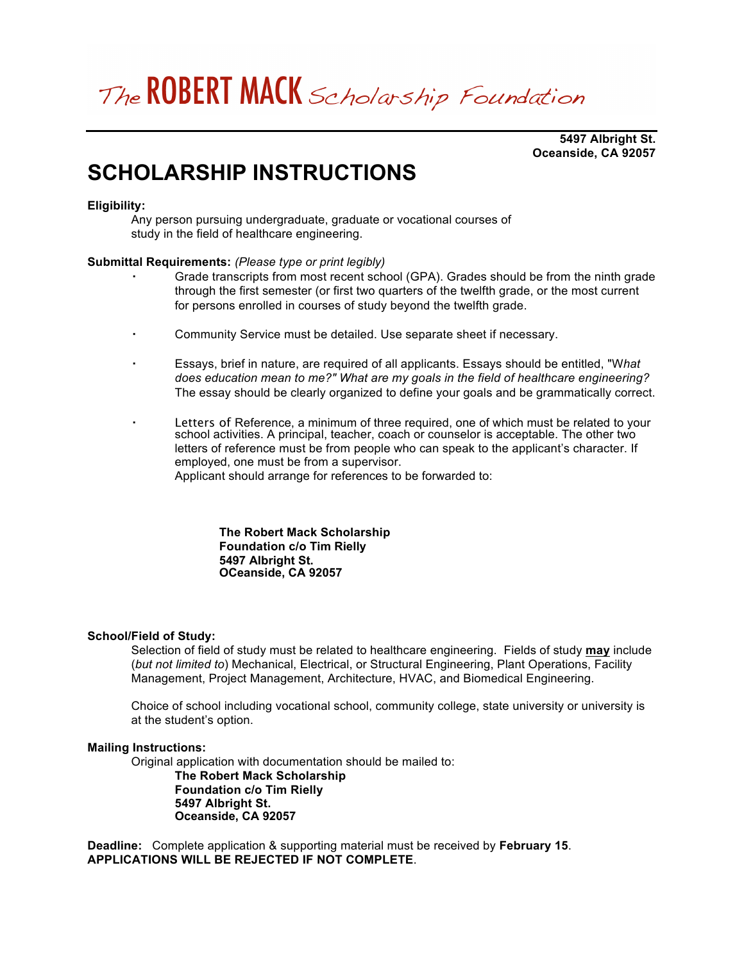# The ROBERT MACK Scholarship Foundation

**5497 Albright St. Oceanside, CA 92057**

## **SCHOLARSHIP INSTRUCTIONS**

#### **Eligibility:**

Any person pursuing undergraduate, graduate or vocational courses of study in the field of healthcare engineering.

#### **Submittal Requirements:** *(Please type or print legibly)*

- Grade transcripts from most recent school (GPA). Grades should be from the ninth grade through the first semester (or first two quarters of the twelfth grade, or the most current for persons enrolled in courses of study beyond the twelfth grade.
- Community Service must be detailed. Use separate sheet if necessary.
- Essays, brief in nature, are required of all applicants. Essays should be entitled, "W*hat does education mean to me?" What are my goals in the field of healthcare engineering?* The essay should be clearly organized to define your goals and be grammatically correct.
- Letters of Reference, a minimum of three required, one of which must be related to your school activities. A principal, teacher, coach or counselor is acceptable. The other two letters of reference must be from people who can speak to the applicant's character. If employed, one must be from a supervisor.

Applicant should arrange for references to be forwarded to:

**The Robert Mack Scholarship Foundation c/o Tim Rielly 5497 Albright St. OCeanside, CA 92057**

#### **School/Field of Study:**

Selection of field of study must be related to healthcare engineering. Fields of study **may** include (*but not limited to*) Mechanical, Electrical, or Structural Engineering, Plant Operations, Facility Management, Project Management, Architecture, HVAC, and Biomedical Engineering.

Choice of school including vocational school, community college, state university or university is at the student's option.

#### **Mailing Instructions:**

Original application with documentation should be mailed to:

**The Robert Mack Scholarship Foundation c/o Tim Rielly 5497 Albright St. Oceanside, CA 92057**

**Deadline:** Complete application & supporting material must be received by **February 15**. **APPLICATIONS WILL BE REJECTED IF NOT COMPLETE**.